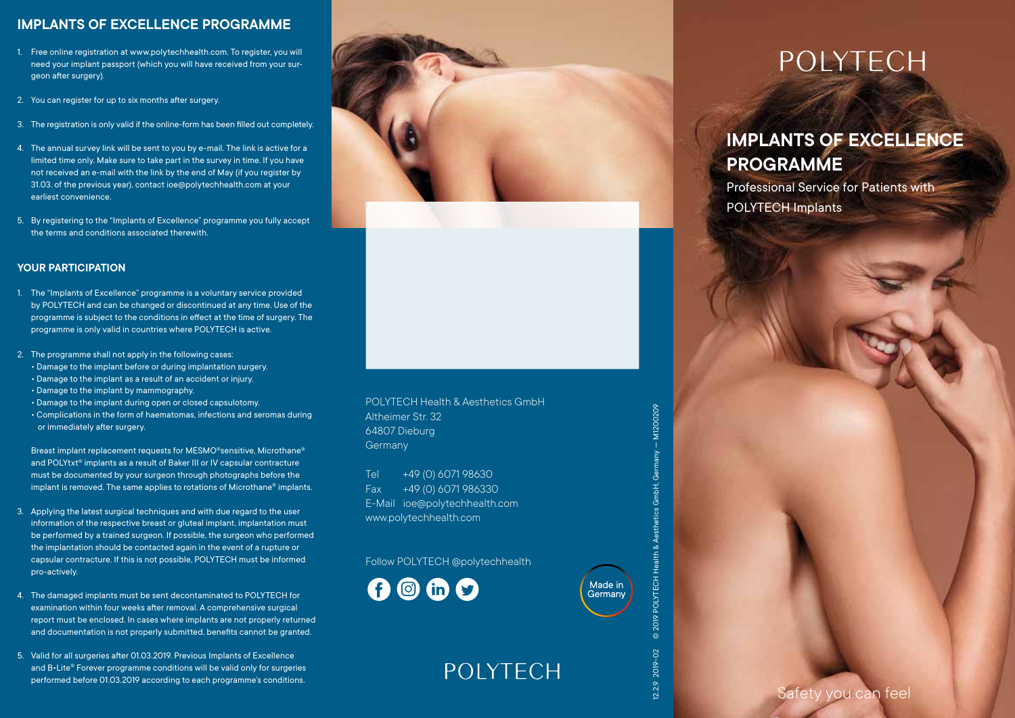#### **IMPLANTS OF EXCELLENCE PROGRAMME**

- 1. Free online registration at www.polytechhealth.com. To register, you will need your implant passport (which you will have received from your surgeon after surgery).
- 2. You can register for up to six months after surgery.
- 3. The registration is only valid if the online-form has been filled out completely.
- 4. The annual survey link will be sent to you by e-mail. The link is active for a limited time only. Make sure to take part in the survey in time. If you have not received an e-mail with the link by the end of May (if you register by 31.03. of the previous year), contact ioe@polytechhealth.com at your earliest convenience.
- 5. By registering to the "Implants of Excellence" programme you fully accept the terms and conditions associated therewith.

#### **YOUR PARTICIPATION**

- 1. The "Implants of Excellence" programme is a voluntary service provided by POLYTECH and can be changed or discontinued at any time. Use of the programme is subject to the conditions in effect at the time of surgery. The programme is only valid in countries where POLYTECH is active.
- 2. The programme shall not apply in the following cases: • Damage to the implant before or during implantation surgery. • Damage to the implant as a result of an accident or injury.
	- Damage to the implant by mammography.
	- Damage to the implant during open or closed capsulotomy.
	- Complications in the form of haematomas, infections and seromas during or immediately after surgery.

Breast implant replacement requests for MESMO®sensitive, Microthane® and POLYtxt<sup>®</sup> implants as a result of Baker III or IV capsular contracture must be documented by your surgeon through photographs before the implant is removed. The same applies to rotations of Microthane® implants.

- 3. Applying the latest surgical techniques and with due regard to the user information of the respective breast or gluteal implant, implantation must be performed by a trained surgeon. If possible, the surgeon who performed the implantation should be contacted again in the event of a rupture or capsular contracture. If this is not possible, POLYTECH must be informed pro-actively.
- 4. The damaged implants must be sent decontaminated to POLYTECH for examination within four weeks after removal. A comprehensive surgical report must be enclosed. In cases where implants are not properly returned and documentation is not properly submitted, benefits cannot be granted.
- 5. Valid for all surgeries after 01.03.2019. Previous Implants of Excellence and B•Lite® Forever programme conditions will be valid only for surgeries performed before 01.03.2019 according to each programme's conditions.



#### POLYTECH Health & Aesthetics GmbH Altheimer Str. 32 64807 Dieburg **Germany**

Tel +49 (0) 6071 98630 Fax +49 (0) 6071 986330 E-Mail ioe@polytechhealth.com www.polytechhealth.com

Follow POLYTECH @polytechhealth

**POIYTECH** 





Made in Germany 0209

# **POLYTECH**

## **IMPLANTS OF EXCELLENCE PROGRAMME**

Professional Service for Patients with POLYTECH Implants